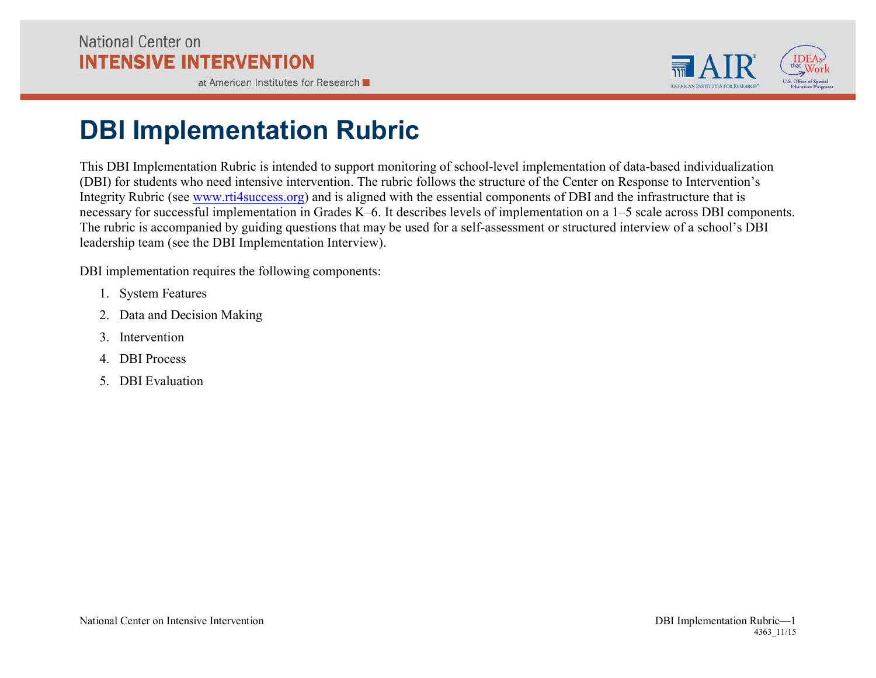at American Institutes for Research



## **DBI Implementation Rubric**

This DBI Implementation Rubric is intended to support monitoring of school-level implementation of data-based individualization (DBI) for students who need intensive intervention. The rubric follows the structure of the Center on Response to Intervention's Integrity Rubric (see [www.rti4success.org\)](http://www.rti4success.org) and is aligned with the essential components of DBI and the infrastructure that is necessary for successful implementation in Grades K–6. It describes levels of implementation on a 1–5 scale across DBI components. The rubric is accompanied by guiding questions that may be used for a self-assessment or structured interview of a school's DBI leadership team (see the DBI Implementation Interview).

DBI implementation requires the following components:

- 1. System Features
- 2. Data and Decision Making
- 3. Intervention
- 4. DBI Process
- 5. DBI Evaluation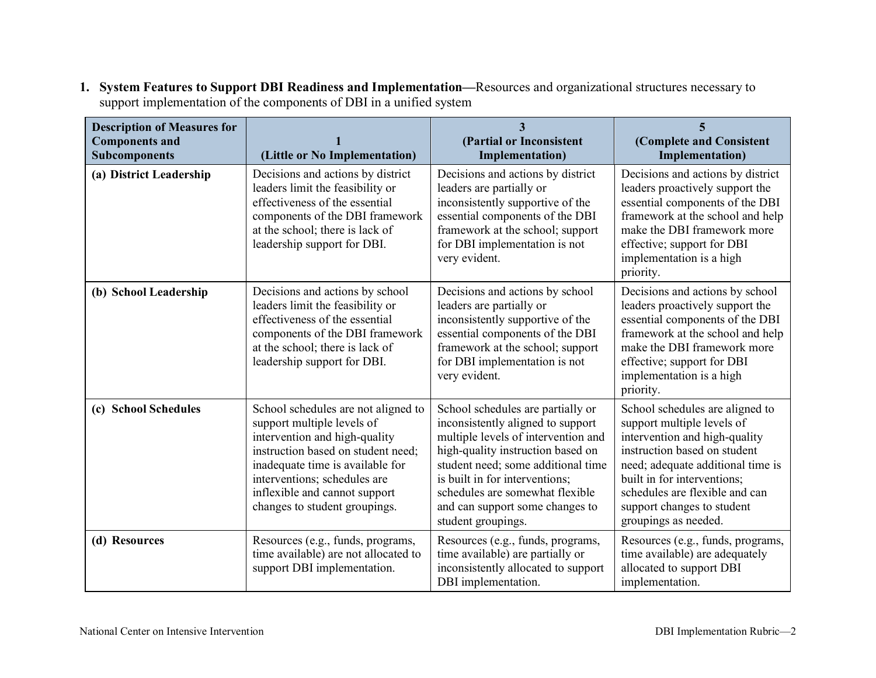| <b>Description of Measures for</b><br><b>Components and</b><br><b>Subcomponents</b> | (Little or No Implementation)                                                                                                                                                                                                                                                  | 3<br>(Partial or Inconsistent<br><b>Implementation</b> )                                                                                                                                                                                                                                                               | 5<br>(Complete and Consistent<br><b>Implementation</b> )                                                                                                                                                                                                                                   |
|-------------------------------------------------------------------------------------|--------------------------------------------------------------------------------------------------------------------------------------------------------------------------------------------------------------------------------------------------------------------------------|------------------------------------------------------------------------------------------------------------------------------------------------------------------------------------------------------------------------------------------------------------------------------------------------------------------------|--------------------------------------------------------------------------------------------------------------------------------------------------------------------------------------------------------------------------------------------------------------------------------------------|
| (a) District Leadership                                                             | Decisions and actions by district<br>leaders limit the feasibility or<br>effectiveness of the essential<br>components of the DBI framework<br>at the school; there is lack of<br>leadership support for DBI.                                                                   | Decisions and actions by district<br>leaders are partially or<br>inconsistently supportive of the<br>essential components of the DBI<br>framework at the school; support<br>for DBI implementation is not<br>very evident.                                                                                             | Decisions and actions by district<br>leaders proactively support the<br>essential components of the DBI<br>framework at the school and help<br>make the DBI framework more<br>effective; support for DBI<br>implementation is a high<br>priority.                                          |
| (b) School Leadership                                                               | Decisions and actions by school<br>leaders limit the feasibility or<br>effectiveness of the essential<br>components of the DBI framework<br>at the school; there is lack of<br>leadership support for DBI.                                                                     | Decisions and actions by school<br>leaders are partially or<br>inconsistently supportive of the<br>essential components of the DBI<br>framework at the school; support<br>for DBI implementation is not<br>very evident.                                                                                               | Decisions and actions by school<br>leaders proactively support the<br>essential components of the DBI<br>framework at the school and help<br>make the DBI framework more<br>effective; support for DBI<br>implementation is a high<br>priority.                                            |
| (c) School Schedules                                                                | School schedules are not aligned to<br>support multiple levels of<br>intervention and high-quality<br>instruction based on student need;<br>inadequate time is available for<br>interventions; schedules are<br>inflexible and cannot support<br>changes to student groupings. | School schedules are partially or<br>inconsistently aligned to support<br>multiple levels of intervention and<br>high-quality instruction based on<br>student need; some additional time<br>is built in for interventions;<br>schedules are somewhat flexible<br>and can support some changes to<br>student groupings. | School schedules are aligned to<br>support multiple levels of<br>intervention and high-quality<br>instruction based on student<br>need; adequate additional time is<br>built in for interventions;<br>schedules are flexible and can<br>support changes to student<br>groupings as needed. |
| (d) Resources                                                                       | Resources (e.g., funds, programs,<br>time available) are not allocated to<br>support DBI implementation.                                                                                                                                                                       | Resources (e.g., funds, programs,<br>time available) are partially or<br>inconsistently allocated to support<br>DBI implementation.                                                                                                                                                                                    | Resources (e.g., funds, programs,<br>time available) are adequately<br>allocated to support DBI<br>implementation.                                                                                                                                                                         |

**1. System Features to Support DBI Readiness and Implementation—**Resources and organizational structures necessary to support implementation of the components of DBI in a unified system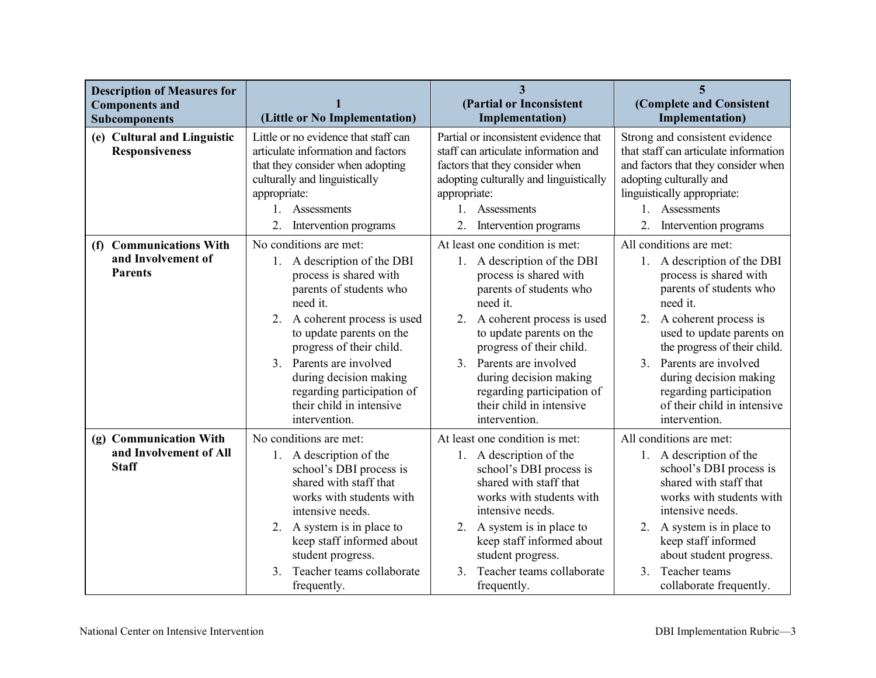| <b>Description of Measures for</b><br><b>Components and</b><br><b>Subcomponents</b> | (Little or No Implementation)                                                                                                                                                                                                                                                                                                                      | $\overline{\mathbf{3}}$<br>(Partial or Inconsistent<br><b>Implementation</b> )                                                                                                                                                                                                                                                                                           | 5<br>(Complete and Consistent<br><b>Implementation</b> )                                                                                                                                                                                                                                                                                            |
|-------------------------------------------------------------------------------------|----------------------------------------------------------------------------------------------------------------------------------------------------------------------------------------------------------------------------------------------------------------------------------------------------------------------------------------------------|--------------------------------------------------------------------------------------------------------------------------------------------------------------------------------------------------------------------------------------------------------------------------------------------------------------------------------------------------------------------------|-----------------------------------------------------------------------------------------------------------------------------------------------------------------------------------------------------------------------------------------------------------------------------------------------------------------------------------------------------|
| (e) Cultural and Linguistic<br><b>Responsiveness</b>                                | Little or no evidence that staff can<br>articulate information and factors<br>that they consider when adopting<br>culturally and linguistically<br>appropriate:<br>Assessments<br>$1_{\cdot}$<br>2.<br>Intervention programs                                                                                                                       | Partial or inconsistent evidence that<br>staff can articulate information and<br>factors that they consider when<br>adopting culturally and linguistically<br>appropriate:<br>1. Assessments<br>Intervention programs                                                                                                                                                    | Strong and consistent evidence<br>that staff can articulate information<br>and factors that they consider when<br>adopting culturally and<br>linguistically appropriate:<br>$1_{-}$<br>Assessments<br>Intervention programs                                                                                                                         |
| (f) Communications With<br>and Involvement of<br><b>Parents</b>                     | No conditions are met:<br>1. A description of the DBI<br>process is shared with<br>parents of students who<br>need it.<br>A coherent process is used<br>2.<br>to update parents on the<br>progress of their child.<br>3. Parents are involved<br>during decision making<br>regarding participation of<br>their child in intensive<br>intervention. | At least one condition is met:<br>1. A description of the DBI<br>process is shared with<br>parents of students who<br>need it.<br>2.<br>A coherent process is used<br>to update parents on the<br>progress of their child.<br>Parents are involved<br>$\mathcal{E}$<br>during decision making<br>regarding participation of<br>their child in intensive<br>intervention. | All conditions are met:<br>1. A description of the DBI<br>process is shared with<br>parents of students who<br>need it.<br>2.<br>A coherent process is<br>used to update parents on<br>the progress of their child.<br>3. Parents are involved<br>during decision making<br>regarding participation<br>of their child in intensive<br>intervention. |
| (g) Communication With<br>and Involvement of All<br><b>Staff</b>                    | No conditions are met:<br>1. A description of the<br>school's DBI process is<br>shared with staff that<br>works with students with<br>intensive needs.<br>2. A system is in place to<br>keep staff informed about<br>student progress.<br>Teacher teams collaborate<br>3.<br>frequently.                                                           | At least one condition is met:<br>1. A description of the<br>school's DBI process is<br>shared with staff that<br>works with students with<br>intensive needs.<br>A system is in place to<br>2.<br>keep staff informed about<br>student progress.<br>Teacher teams collaborate<br>3 <sub>1</sub><br>frequently.                                                          | All conditions are met:<br>1. A description of the<br>school's DBI process is<br>shared with staff that<br>works with students with<br>intensive needs.<br>2. A system is in place to<br>keep staff informed<br>about student progress.<br>Teacher teams<br>3 <sub>1</sub><br>collaborate frequently.                                               |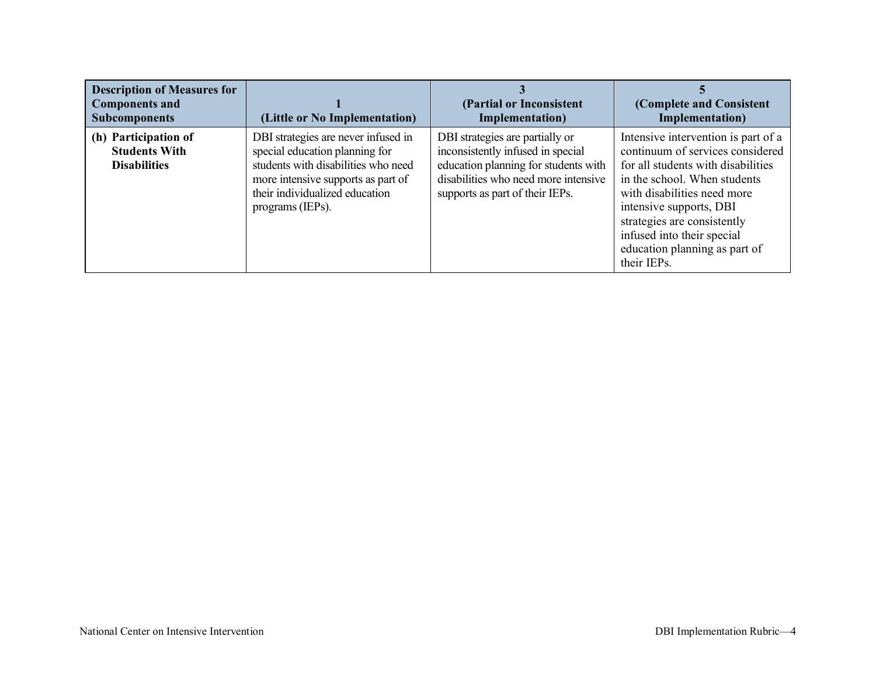| <b>Description of Measures for</b><br><b>Components and</b><br><b>Subcomponents</b> | (Little or No Implementation)                                                                                                                                                                            | (Partial or Inconsistent<br>Implementation)                                                                                                                                             | (Complete and Consistent<br>Implementation)                                                                                                                                                                                                                                                                          |
|-------------------------------------------------------------------------------------|----------------------------------------------------------------------------------------------------------------------------------------------------------------------------------------------------------|-----------------------------------------------------------------------------------------------------------------------------------------------------------------------------------------|----------------------------------------------------------------------------------------------------------------------------------------------------------------------------------------------------------------------------------------------------------------------------------------------------------------------|
| (h) Participation of<br><b>Students With</b><br><b>Disabilities</b>                 | DBI strategies are never infused in<br>special education planning for<br>students with disabilities who need<br>more intensive supports as part of<br>their individualized education<br>programs (IEPs). | DBI strategies are partially or<br>inconsistently infused in special<br>education planning for students with<br>disabilities who need more intensive<br>supports as part of their IEPs. | Intensive intervention is part of a<br>continuum of services considered<br>for all students with disabilities<br>in the school. When students<br>with disabilities need more<br>intensive supports, DBI<br>strategies are consistently<br>infused into their special<br>education planning as part of<br>their IEPs. |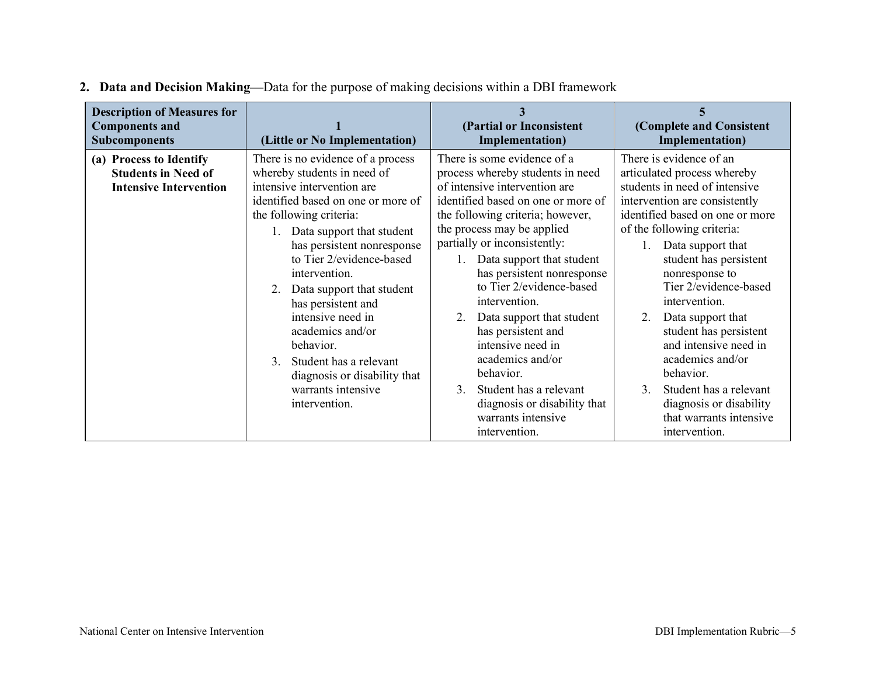| <b>Description of Measures for</b><br><b>Components and</b><br><b>Subcomponents</b>    | (Little or No Implementation)                                                                                                                                                                                                                                                                                                                                                                                                                                                                      | (Partial or Inconsistent<br>Implementation)                                                                                                                                                                                                                                                                                                                                                                                                                                                                                                                                             | (Complete and Consistent<br><b>Implementation</b> )                                                                                                                                                                                                                                                                                                                                                                                                                                                                                              |
|----------------------------------------------------------------------------------------|----------------------------------------------------------------------------------------------------------------------------------------------------------------------------------------------------------------------------------------------------------------------------------------------------------------------------------------------------------------------------------------------------------------------------------------------------------------------------------------------------|-----------------------------------------------------------------------------------------------------------------------------------------------------------------------------------------------------------------------------------------------------------------------------------------------------------------------------------------------------------------------------------------------------------------------------------------------------------------------------------------------------------------------------------------------------------------------------------------|--------------------------------------------------------------------------------------------------------------------------------------------------------------------------------------------------------------------------------------------------------------------------------------------------------------------------------------------------------------------------------------------------------------------------------------------------------------------------------------------------------------------------------------------------|
| (a) Process to Identify<br><b>Students in Need of</b><br><b>Intensive Intervention</b> | There is no evidence of a process<br>whereby students in need of<br>intensive intervention are<br>identified based on one or more of<br>the following criteria:<br>Data support that student<br>has persistent nonresponse<br>to Tier 2/evidence-based<br>intervention.<br>Data support that student<br>has persistent and<br>intensive need in<br>academics and/or<br>behavior.<br>Student has a relevant<br>$\mathcal{E}$<br>diagnosis or disability that<br>warrants intensive<br>intervention. | There is some evidence of a<br>process whereby students in need<br>of intensive intervention are<br>identified based on one or more of<br>the following criteria; however,<br>the process may be applied<br>partially or inconsistently:<br>Data support that student<br>has persistent nonresponse<br>to Tier 2/evidence-based<br>intervention.<br>Data support that student<br>$2_{-}$<br>has persistent and<br>intensive need in<br>academics and/or<br>behavior.<br>Student has a relevant<br>3 <sub>1</sub><br>diagnosis or disability that<br>warrants intensive<br>intervention. | There is evidence of an<br>articulated process whereby<br>students in need of intensive<br>intervention are consistently<br>identified based on one or more<br>of the following criteria:<br>Data support that<br>1.<br>student has persistent<br>nonresponse to<br>Tier 2/evidence-based<br>intervention.<br>Data support that<br>$2_{-}$<br>student has persistent<br>and intensive need in<br>academics and/or<br>behavior.<br>Student has a relevant<br>$\mathcal{E}$<br>diagnosis or disability<br>that warrants intensive<br>intervention. |

## **2. Data and Decision Making—**Data for the purpose of making decisions within a DBI framework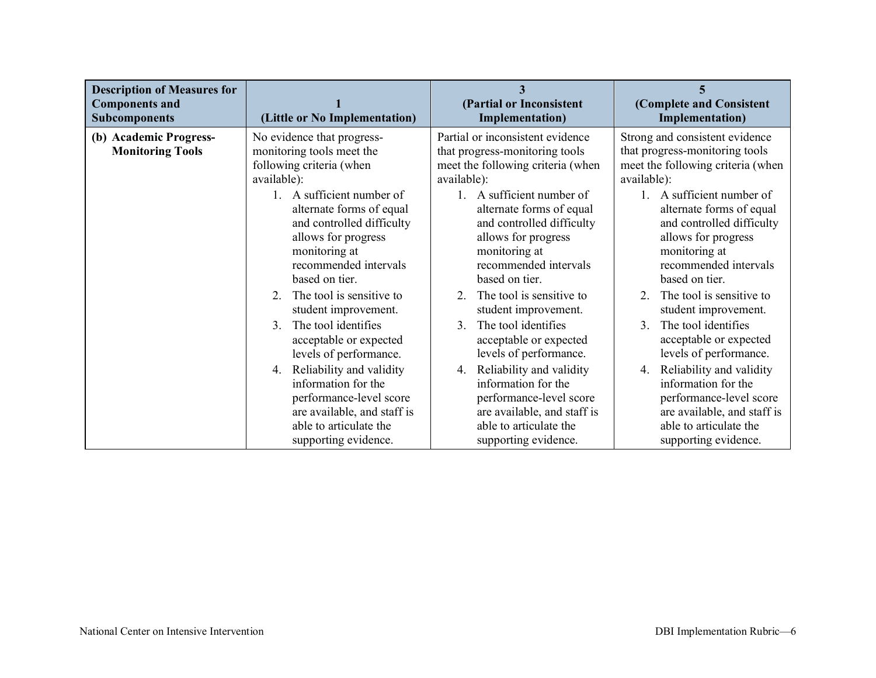| <b>Description of Measures for</b><br><b>Components and</b><br><b>Subcomponents</b> | (Little or No Implementation)                                                                                                   | (Partial or Inconsistent<br>Implementation)                                                                                                         | (Complete and Consistent<br><b>Implementation</b> )                                                                                               |
|-------------------------------------------------------------------------------------|---------------------------------------------------------------------------------------------------------------------------------|-----------------------------------------------------------------------------------------------------------------------------------------------------|---------------------------------------------------------------------------------------------------------------------------------------------------|
| (b) Academic Progress-<br><b>Monitoring Tools</b>                                   | No evidence that progress-<br>monitoring tools meet the<br>following criteria (when<br>available):<br>1. A sufficient number of | Partial or inconsistent evidence<br>that progress-monitoring tools<br>meet the following criteria (when<br>available):<br>1. A sufficient number of | Strong and consistent evidence<br>that progress-monitoring tools<br>meet the following criteria (when<br>available):<br>1. A sufficient number of |
|                                                                                     | alternate forms of equal                                                                                                        | alternate forms of equal                                                                                                                            | alternate forms of equal                                                                                                                          |
|                                                                                     | and controlled difficulty                                                                                                       | and controlled difficulty                                                                                                                           | and controlled difficulty                                                                                                                         |
|                                                                                     | allows for progress                                                                                                             | allows for progress                                                                                                                                 | allows for progress                                                                                                                               |
|                                                                                     | monitoring at                                                                                                                   | monitoring at                                                                                                                                       | monitoring at                                                                                                                                     |
|                                                                                     | recommended intervals                                                                                                           | recommended intervals                                                                                                                               | recommended intervals                                                                                                                             |
|                                                                                     | based on tier.                                                                                                                  | based on tier.                                                                                                                                      | based on tier.                                                                                                                                    |
|                                                                                     | The tool is sensitive to                                                                                                        | The tool is sensitive to                                                                                                                            | The tool is sensitive to                                                                                                                          |
|                                                                                     | 2                                                                                                                               | $2^{\circ}$                                                                                                                                         | $\overline{2}$                                                                                                                                    |
|                                                                                     | student improvement.                                                                                                            | student improvement.                                                                                                                                | student improvement.                                                                                                                              |
|                                                                                     | The tool identifies                                                                                                             | The tool identifies                                                                                                                                 | The tool identifies                                                                                                                               |
|                                                                                     | 3 <sub>1</sub>                                                                                                                  | $\mathcal{E}$                                                                                                                                       | 3 <sub>1</sub>                                                                                                                                    |
|                                                                                     | acceptable or expected                                                                                                          | acceptable or expected                                                                                                                              | acceptable or expected                                                                                                                            |
|                                                                                     | levels of performance.                                                                                                          | levels of performance.                                                                                                                              | levels of performance.                                                                                                                            |
|                                                                                     | Reliability and validity                                                                                                        | Reliability and validity                                                                                                                            | Reliability and validity                                                                                                                          |
|                                                                                     | 4.                                                                                                                              | 4.                                                                                                                                                  | 4.                                                                                                                                                |
|                                                                                     | information for the                                                                                                             | information for the                                                                                                                                 | information for the                                                                                                                               |
|                                                                                     | performance-level score                                                                                                         | performance-level score                                                                                                                             | performance-level score                                                                                                                           |
|                                                                                     | are available, and staff is                                                                                                     | are available, and staff is                                                                                                                         | are available, and staff is                                                                                                                       |
|                                                                                     | able to articulate the                                                                                                          | able to articulate the                                                                                                                              | able to articulate the                                                                                                                            |
|                                                                                     | supporting evidence.                                                                                                            | supporting evidence.                                                                                                                                | supporting evidence.                                                                                                                              |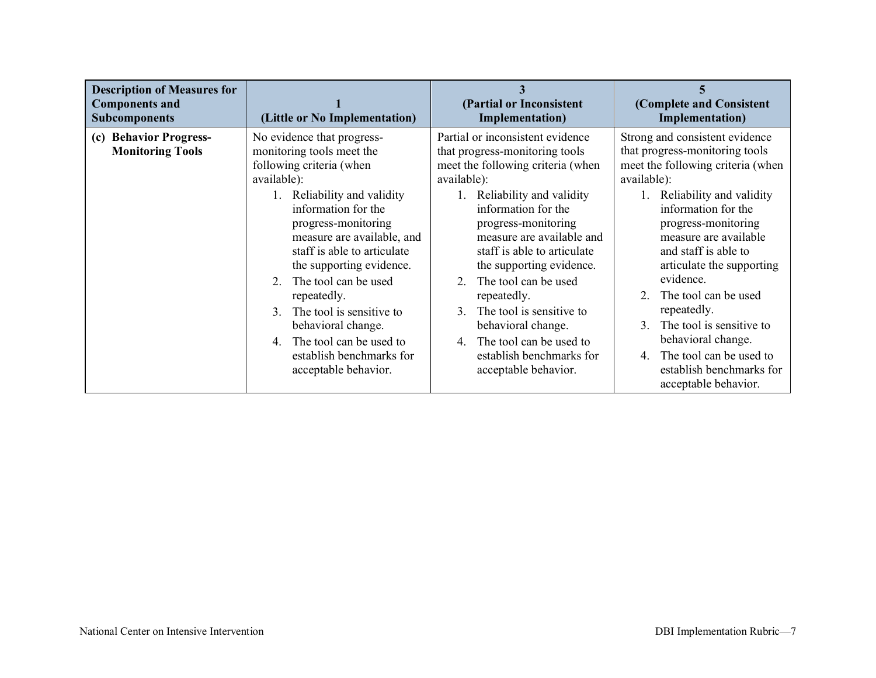| <b>Description of Measures for</b><br><b>Components and</b><br><b>Subcomponents</b> | (Little or No Implementation)                                                                                                                                                                                                                                                                                                                                                                                                                                                          | (Partial or Inconsistent<br><b>Implementation</b> )                                                                                                                                                                                                                                                                                                                                                                                                                                                         | (Complete and Consistent<br><b>Implementation</b> )                                                                                                                                                                                                                                                                                                                                                                                                                                        |
|-------------------------------------------------------------------------------------|----------------------------------------------------------------------------------------------------------------------------------------------------------------------------------------------------------------------------------------------------------------------------------------------------------------------------------------------------------------------------------------------------------------------------------------------------------------------------------------|-------------------------------------------------------------------------------------------------------------------------------------------------------------------------------------------------------------------------------------------------------------------------------------------------------------------------------------------------------------------------------------------------------------------------------------------------------------------------------------------------------------|--------------------------------------------------------------------------------------------------------------------------------------------------------------------------------------------------------------------------------------------------------------------------------------------------------------------------------------------------------------------------------------------------------------------------------------------------------------------------------------------|
| (c) Behavior Progress-<br><b>Monitoring Tools</b>                                   | No evidence that progress-<br>monitoring tools meet the<br>following criteria (when<br>available):<br>1. Reliability and validity<br>information for the<br>progress-monitoring<br>measure are available, and<br>staff is able to articulate<br>the supporting evidence.<br>The tool can be used<br>2<br>repeatedly.<br>The tool is sensitive to<br>$\mathcal{E}$<br>behavioral change.<br>The tool can be used to<br>$4_{\ldots}$<br>establish benchmarks for<br>acceptable behavior. | Partial or inconsistent evidence<br>that progress-monitoring tools<br>meet the following criteria (when<br>available):<br>1. Reliability and validity<br>information for the<br>progress-monitoring<br>measure are available and<br>staff is able to articulate<br>the supporting evidence.<br>The tool can be used<br>2<br>repeatedly.<br>The tool is sensitive to<br>$\mathcal{E}$<br>behavioral change.<br>The tool can be used to<br>$\overline{4}$<br>establish benchmarks for<br>acceptable behavior. | Strong and consistent evidence<br>that progress-monitoring tools<br>meet the following criteria (when<br>available):<br>Reliability and validity<br>information for the<br>progress-monitoring<br>measure are available<br>and staff is able to<br>articulate the supporting<br>evidence.<br>The tool can be used<br>2<br>repeatedly.<br>The tool is sensitive to<br>3<br>behavioral change.<br>The tool can be used to<br>$4_{\cdot}$<br>establish benchmarks for<br>acceptable behavior. |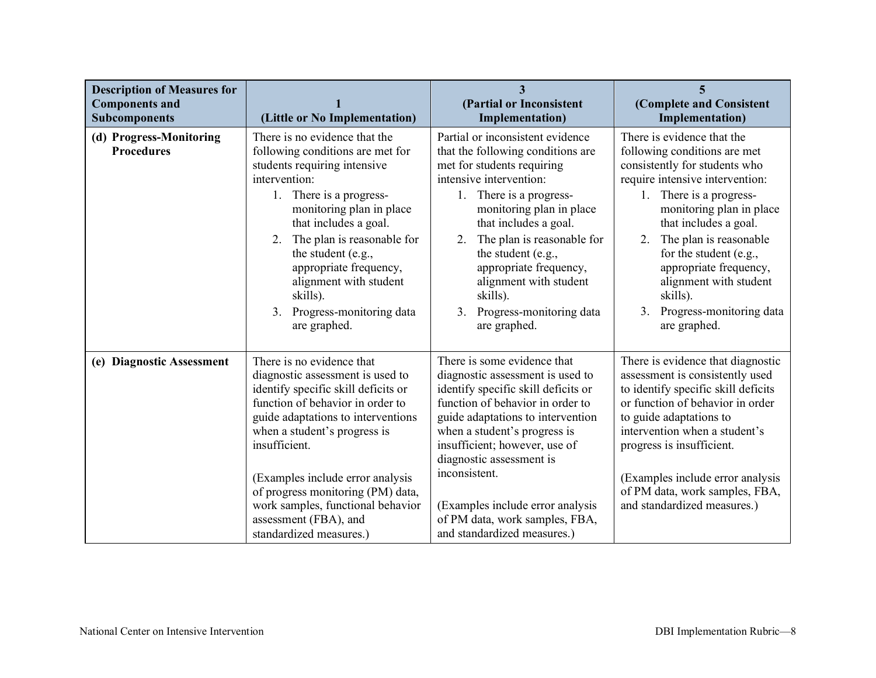| <b>Description of Measures for</b><br><b>Components and</b><br><b>Subcomponents</b> | (Little or No Implementation)                                                                                                                                                                                                                                                                                                                                                                     | $\overline{3}$<br>(Partial or Inconsistent<br><b>Implementation</b> )                                                                                                                                                                                                                                                                                                                              | 5<br>(Complete and Consistent<br><b>Implementation</b> )                                                                                                                                                                                                                                                                                                                                |
|-------------------------------------------------------------------------------------|---------------------------------------------------------------------------------------------------------------------------------------------------------------------------------------------------------------------------------------------------------------------------------------------------------------------------------------------------------------------------------------------------|----------------------------------------------------------------------------------------------------------------------------------------------------------------------------------------------------------------------------------------------------------------------------------------------------------------------------------------------------------------------------------------------------|-----------------------------------------------------------------------------------------------------------------------------------------------------------------------------------------------------------------------------------------------------------------------------------------------------------------------------------------------------------------------------------------|
| (d) Progress-Monitoring<br><b>Procedures</b>                                        | There is no evidence that the<br>following conditions are met for<br>students requiring intensive<br>intervention:<br>There is a progress-<br>1.<br>monitoring plan in place<br>that includes a goal.<br>The plan is reasonable for<br>2.<br>the student (e.g.,<br>appropriate frequency,<br>alignment with student<br>skills).<br>Progress-monitoring data<br>3 <sub>1</sub><br>are graphed.     | Partial or inconsistent evidence<br>that the following conditions are<br>met for students requiring<br>intensive intervention:<br>There is a progress-<br>1.<br>monitoring plan in place<br>that includes a goal.<br>The plan is reasonable for<br>2.<br>the student (e.g.,<br>appropriate frequency,<br>alignment with student<br>skills).<br>Progress-monitoring data<br>3.<br>are graphed.      | There is evidence that the<br>following conditions are met<br>consistently for students who<br>require intensive intervention:<br>1. There is a progress-<br>monitoring plan in place<br>that includes a goal.<br>The plan is reasonable<br>2.<br>for the student (e.g.,<br>appropriate frequency,<br>alignment with student<br>skills).<br>3. Progress-monitoring data<br>are graphed. |
| (e) Diagnostic Assessment                                                           | There is no evidence that<br>diagnostic assessment is used to<br>identify specific skill deficits or<br>function of behavior in order to<br>guide adaptations to interventions<br>when a student's progress is<br>insufficient.<br>(Examples include error analysis<br>of progress monitoring (PM) data,<br>work samples, functional behavior<br>assessment (FBA), and<br>standardized measures.) | There is some evidence that<br>diagnostic assessment is used to<br>identify specific skill deficits or<br>function of behavior in order to<br>guide adaptations to intervention<br>when a student's progress is<br>insufficient; however, use of<br>diagnostic assessment is<br>inconsistent.<br>(Examples include error analysis<br>of PM data, work samples, FBA,<br>and standardized measures.) | There is evidence that diagnostic<br>assessment is consistently used<br>to identify specific skill deficits<br>or function of behavior in order<br>to guide adaptations to<br>intervention when a student's<br>progress is insufficient.<br>(Examples include error analysis<br>of PM data, work samples, FBA,<br>and standardized measures.)                                           |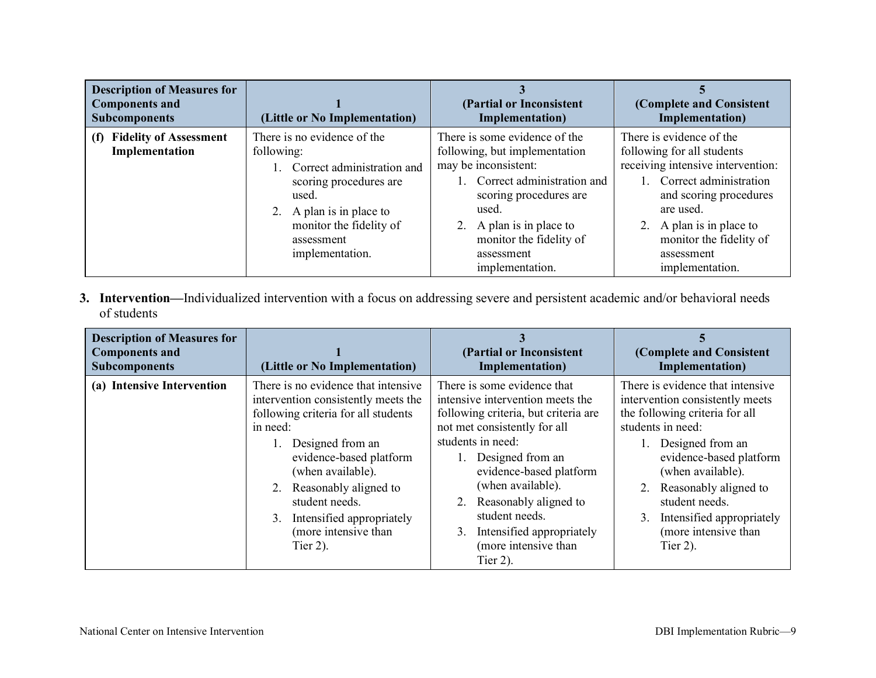| <b>Description of Measures for</b><br><b>Components and</b><br><b>Subcomponents</b> | (Little or No Implementation)                                                                                                                                                                         | (Partial or Inconsistent<br>Implementation)                                                                                                                                                                                                        | (Complete and Consistent<br>Implementation)                                                                                                                                                                                                             |
|-------------------------------------------------------------------------------------|-------------------------------------------------------------------------------------------------------------------------------------------------------------------------------------------------------|----------------------------------------------------------------------------------------------------------------------------------------------------------------------------------------------------------------------------------------------------|---------------------------------------------------------------------------------------------------------------------------------------------------------------------------------------------------------------------------------------------------------|
| <b>Fidelity of Assessment</b><br>(f)<br>Implementation                              | There is no evidence of the<br>following:<br>1. Correct administration and<br>scoring procedures are<br>used.<br>2. A plan is in place to<br>monitor the fidelity of<br>assessment<br>implementation. | There is some evidence of the<br>following, but implementation<br>may be inconsistent:<br>1. Correct administration and<br>scoring procedures are<br>used.<br>2. A plan is in place to<br>monitor the fidelity of<br>assessment<br>implementation. | There is evidence of the<br>following for all students<br>receiving intensive intervention:<br>1. Correct administration<br>and scoring procedures<br>are used.<br>2. A plan is in place to<br>monitor the fidelity of<br>assessment<br>implementation. |

**3. Intervention—**Individualized intervention with a focus on addressing severe and persistent academic and/or behavioral needs of students

| <b>Description of Measures for</b><br><b>Components and</b><br><b>Subcomponents</b> | (Little or No Implementation)                                                                                                                                                                                                                                                                                          | (Partial or Inconsistent<br>Implementation)                                                                                                                                                                                                                                                                                                                 | (Complete and Consistent<br>Implementation)                                                                                                                                                                                                                                                                            |
|-------------------------------------------------------------------------------------|------------------------------------------------------------------------------------------------------------------------------------------------------------------------------------------------------------------------------------------------------------------------------------------------------------------------|-------------------------------------------------------------------------------------------------------------------------------------------------------------------------------------------------------------------------------------------------------------------------------------------------------------------------------------------------------------|------------------------------------------------------------------------------------------------------------------------------------------------------------------------------------------------------------------------------------------------------------------------------------------------------------------------|
| (a) Intensive Intervention                                                          | There is no evidence that intensive<br>intervention consistently meets the<br>following criteria for all students<br>in need:<br>Designed from an<br>evidence-based platform<br>(when available).<br>2. Reasonably aligned to<br>student needs.<br>3. Intensified appropriately<br>(more intensive than<br>Tier $2$ ). | There is some evidence that<br>intensive intervention meets the<br>following criteria, but criteria are<br>not met consistently for all<br>students in need:<br>Designed from an<br>evidence-based platform<br>(when available).<br>Reasonably aligned to<br>2.<br>student needs.<br>Intensified appropriately<br>3.<br>(more intensive than<br>Tier $2$ ). | There is evidence that intensive<br>intervention consistently meets<br>the following criteria for all<br>students in need:<br>Designed from an<br>evidence-based platform<br>(when available).<br>2. Reasonably aligned to<br>student needs.<br>Intensified appropriately<br>3.<br>(more intensive than<br>Tier $2$ ). |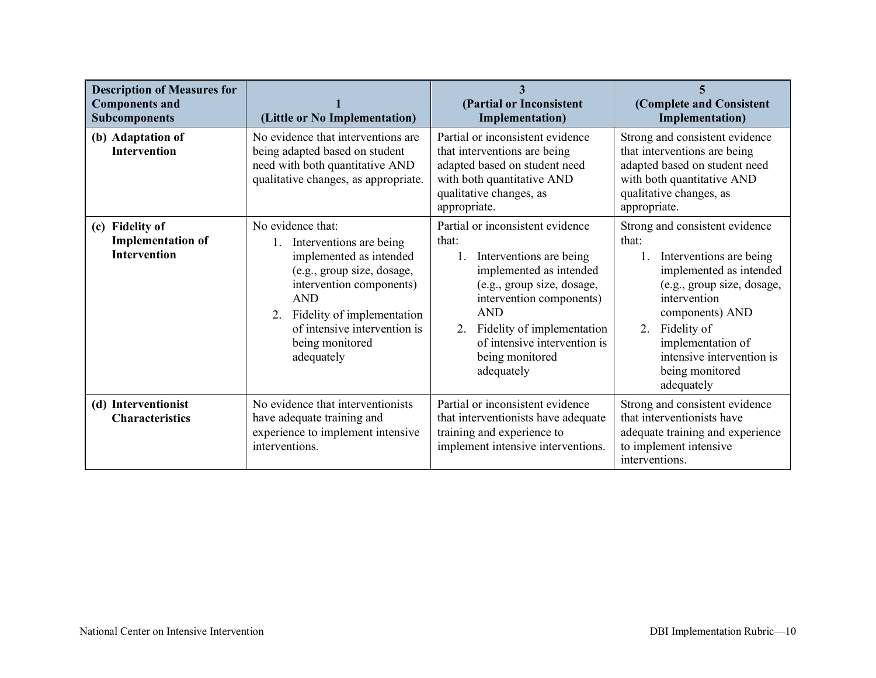| <b>Description of Measures for</b><br><b>Components and</b><br><b>Subcomponents</b> | (Little or No Implementation)                                                                                                                                                                                                                                    | (Partial or Inconsistent<br><b>Implementation</b> )                                                                                                                                                                                                                          | (Complete and Consistent<br>Implementation)                                                                                                                                                                                                                         |
|-------------------------------------------------------------------------------------|------------------------------------------------------------------------------------------------------------------------------------------------------------------------------------------------------------------------------------------------------------------|------------------------------------------------------------------------------------------------------------------------------------------------------------------------------------------------------------------------------------------------------------------------------|---------------------------------------------------------------------------------------------------------------------------------------------------------------------------------------------------------------------------------------------------------------------|
| (b) Adaptation of<br>Intervention                                                   | No evidence that interventions are<br>being adapted based on student<br>need with both quantitative AND<br>qualitative changes, as appropriate.                                                                                                                  | Partial or inconsistent evidence<br>that interventions are being<br>adapted based on student need<br>with both quantitative AND<br>qualitative changes, as<br>appropriate.                                                                                                   | Strong and consistent evidence<br>that interventions are being<br>adapted based on student need<br>with both quantitative AND<br>qualitative changes, as<br>appropriate.                                                                                            |
| (c) Fidelity of<br><b>Implementation of</b><br><b>Intervention</b>                  | No evidence that:<br>1. Interventions are being<br>implemented as intended<br>(e.g., group size, dosage,<br>intervention components)<br><b>AND</b><br>Fidelity of implementation<br>$2_{\cdot}$<br>of intensive intervention is<br>being monitored<br>adequately | Partial or inconsistent evidence<br>that:<br>Interventions are being<br>implemented as intended<br>(e.g., group size, dosage,<br>intervention components)<br><b>AND</b><br>Fidelity of implementation<br>2.<br>of intensive intervention is<br>being monitored<br>adequately | Strong and consistent evidence<br>that:<br>Interventions are being<br>implemented as intended<br>(e.g., group size, dosage,<br>intervention<br>components) AND<br>2. Fidelity of<br>implementation of<br>intensive intervention is<br>being monitored<br>adequately |
| (d) Interventionist<br><b>Characteristics</b>                                       | No evidence that interventionists<br>have adequate training and<br>experience to implement intensive<br>interventions.                                                                                                                                           | Partial or inconsistent evidence<br>that interventionists have adequate<br>training and experience to<br>implement intensive interventions.                                                                                                                                  | Strong and consistent evidence<br>that interventionists have<br>adequate training and experience<br>to implement intensive<br>interventions.                                                                                                                        |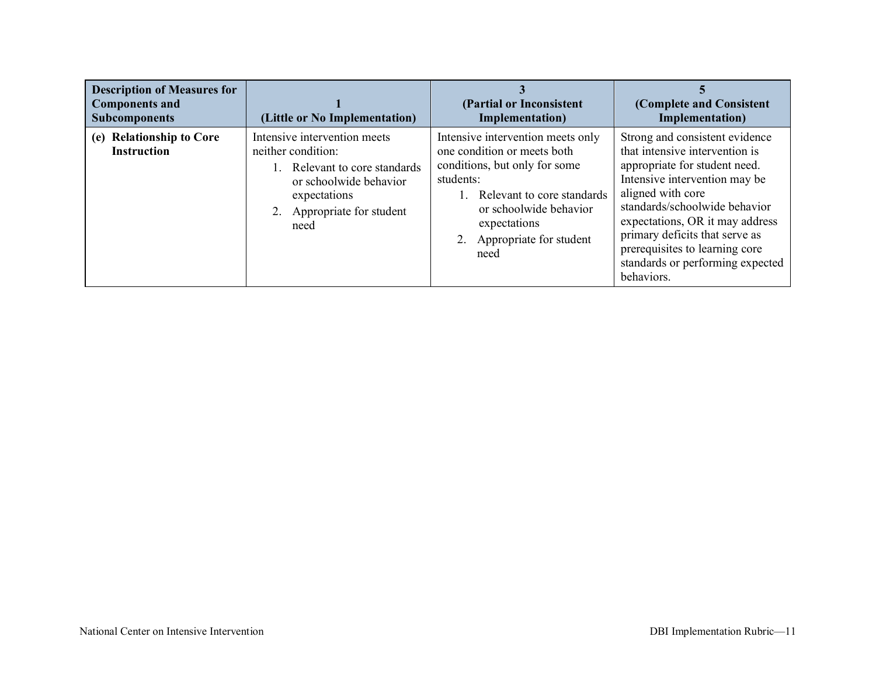| <b>Description of Measures for</b><br><b>Components and</b><br><b>Subcomponents</b> | (Little or No Implementation)                                                                                                                                    | (Partial or Inconsistent<br>Implementation)                                                                                                                                                                                  | (Complete and Consistent<br>Implementation)                                                                                                                                                                                                                                                                                                       |
|-------------------------------------------------------------------------------------|------------------------------------------------------------------------------------------------------------------------------------------------------------------|------------------------------------------------------------------------------------------------------------------------------------------------------------------------------------------------------------------------------|---------------------------------------------------------------------------------------------------------------------------------------------------------------------------------------------------------------------------------------------------------------------------------------------------------------------------------------------------|
| (e) Relationship to Core<br><b>Instruction</b>                                      | Intensive intervention meets<br>neither condition:<br>Relevant to core standards<br>or schoolwide behavior<br>expectations<br>2. Appropriate for student<br>need | Intensive intervention meets only<br>one condition or meets both<br>conditions, but only for some<br>students:<br>Relevant to core standards<br>or schoolwide behavior<br>expectations<br>2. Appropriate for student<br>need | Strong and consistent evidence<br>that intensive intervention is<br>appropriate for student need.<br>Intensive intervention may be<br>aligned with core<br>standards/schoolwide behavior<br>expectations, OR it may address<br>primary deficits that serve as<br>prerequisites to learning core<br>standards or performing expected<br>behaviors. |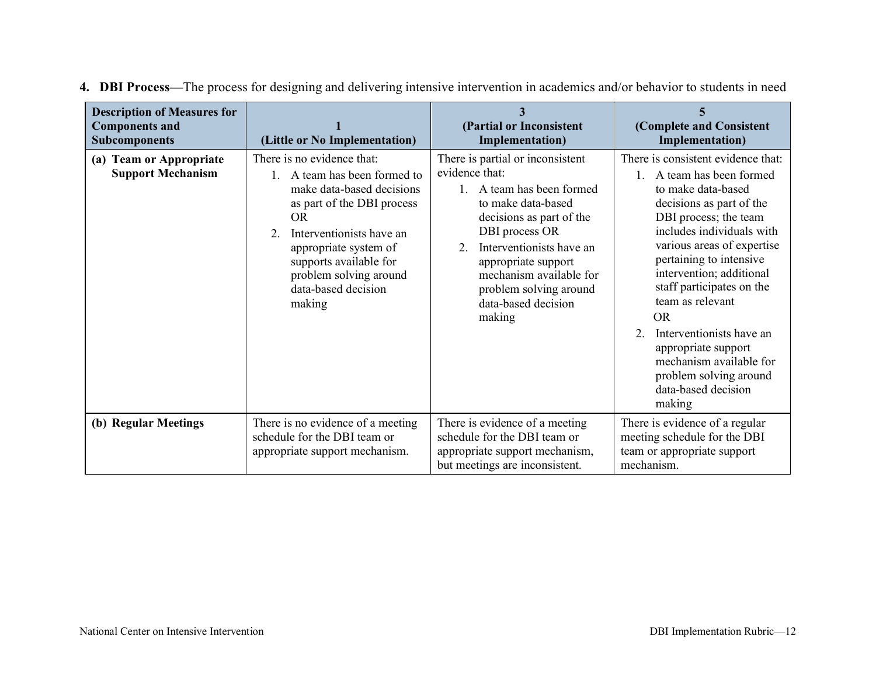| <b>Description of Measures for</b><br><b>Components and</b><br><b>Subcomponents</b> | (Little or No Implementation)                                                                                                                                                                                                                                                               | (Partial or Inconsistent<br>Implementation)                                                                                                                                                                                                                                                  | (Complete and Consistent<br><b>Implementation</b> )                                                                                                                                                                                                                                                                                                                                                                                                              |
|-------------------------------------------------------------------------------------|---------------------------------------------------------------------------------------------------------------------------------------------------------------------------------------------------------------------------------------------------------------------------------------------|----------------------------------------------------------------------------------------------------------------------------------------------------------------------------------------------------------------------------------------------------------------------------------------------|------------------------------------------------------------------------------------------------------------------------------------------------------------------------------------------------------------------------------------------------------------------------------------------------------------------------------------------------------------------------------------------------------------------------------------------------------------------|
| (a) Team or Appropriate<br><b>Support Mechanism</b>                                 | There is no evidence that:<br>A team has been formed to<br>make data-based decisions<br>as part of the DBI process<br><b>OR</b><br>Interventionists have an<br>$\overline{2}$<br>appropriate system of<br>supports available for<br>problem solving around<br>data-based decision<br>making | There is partial or inconsistent<br>evidence that:<br>1. A team has been formed<br>to make data-based<br>decisions as part of the<br>DBI process OR<br>Interventionists have an<br>appropriate support<br>mechanism available for<br>problem solving around<br>data-based decision<br>making | There is consistent evidence that:<br>A team has been formed<br>to make data-based<br>decisions as part of the<br>DBI process; the team<br>includes individuals with<br>various areas of expertise<br>pertaining to intensive<br>intervention; additional<br>staff participates on the<br>team as relevant<br><b>OR</b><br>Interventionists have an<br>appropriate support<br>mechanism available for<br>problem solving around<br>data-based decision<br>making |
| (b) Regular Meetings                                                                | There is no evidence of a meeting<br>schedule for the DBI team or<br>appropriate support mechanism.                                                                                                                                                                                         | There is evidence of a meeting<br>schedule for the DBI team or<br>appropriate support mechanism,<br>but meetings are inconsistent.                                                                                                                                                           | There is evidence of a regular<br>meeting schedule for the DBI<br>team or appropriate support<br>mechanism.                                                                                                                                                                                                                                                                                                                                                      |

**4. DBI Process—**The process for designing and delivering intensive intervention in academics and/or behavior to students in need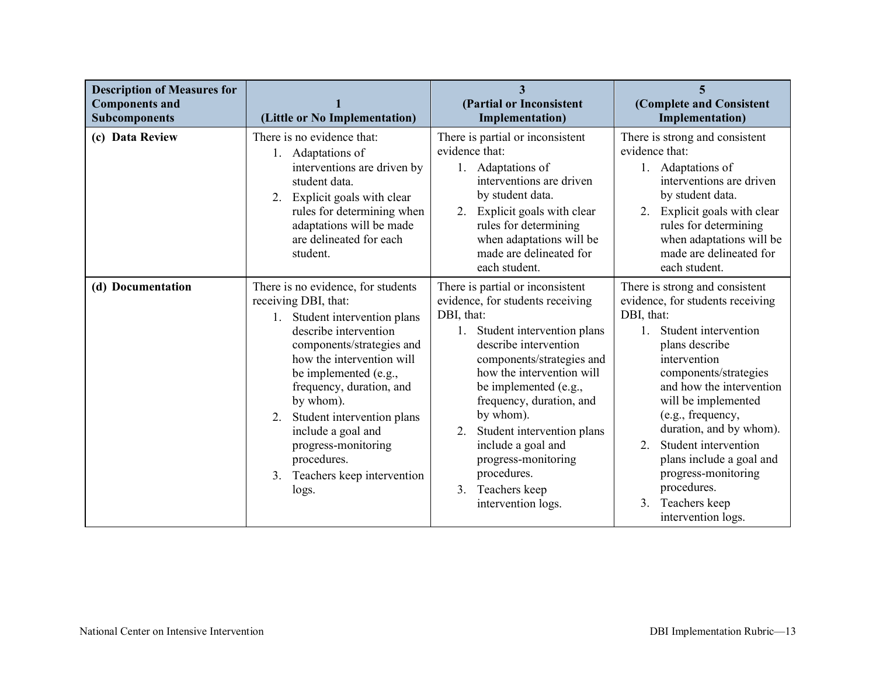| <b>Description of Measures for</b><br><b>Components and</b><br><b>Subcomponents</b> | (Little or No Implementation)                                                                                                                                                                                                                                                                                                                                                              | 3<br>(Partial or Inconsistent<br><b>Implementation</b> )                                                                                                                                                                                                                                                                                                                                                              | 5<br>(Complete and Consistent<br><b>Implementation</b> )                                                                                                                                                                                                                                                                                                                                                                                        |
|-------------------------------------------------------------------------------------|--------------------------------------------------------------------------------------------------------------------------------------------------------------------------------------------------------------------------------------------------------------------------------------------------------------------------------------------------------------------------------------------|-----------------------------------------------------------------------------------------------------------------------------------------------------------------------------------------------------------------------------------------------------------------------------------------------------------------------------------------------------------------------------------------------------------------------|-------------------------------------------------------------------------------------------------------------------------------------------------------------------------------------------------------------------------------------------------------------------------------------------------------------------------------------------------------------------------------------------------------------------------------------------------|
| (c) Data Review                                                                     | There is no evidence that:<br>1. Adaptations of<br>interventions are driven by<br>student data.<br>2. Explicit goals with clear<br>rules for determining when<br>adaptations will be made<br>are delineated for each<br>student.                                                                                                                                                           | There is partial or inconsistent<br>evidence that:<br>1. Adaptations of<br>interventions are driven<br>by student data.<br>Explicit goals with clear<br>2.<br>rules for determining<br>when adaptations will be<br>made are delineated for<br>each student.                                                                                                                                                           | There is strong and consistent<br>evidence that:<br>1. Adaptations of<br>interventions are driven<br>by student data.<br>Explicit goals with clear<br>2.<br>rules for determining<br>when adaptations will be<br>made are delineated for<br>each student.                                                                                                                                                                                       |
| (d) Documentation                                                                   | There is no evidence, for students<br>receiving DBI, that:<br>1. Student intervention plans<br>describe intervention<br>components/strategies and<br>how the intervention will<br>be implemented (e.g.,<br>frequency, duration, and<br>by whom).<br>Student intervention plans<br>2.<br>include a goal and<br>progress-monitoring<br>procedures.<br>3. Teachers keep intervention<br>logs. | There is partial or inconsistent<br>evidence, for students receiving<br>DBI, that:<br>1. Student intervention plans<br>describe intervention<br>components/strategies and<br>how the intervention will<br>be implemented (e.g.,<br>frequency, duration, and<br>by whom).<br>Student intervention plans<br>2.<br>include a goal and<br>progress-monitoring<br>procedures.<br>Teachers keep<br>3.<br>intervention logs. | There is strong and consistent<br>evidence, for students receiving<br>DBI, that:<br>Student intervention<br>$\mathbf{1}$<br>plans describe<br>intervention<br>components/strategies<br>and how the intervention<br>will be implemented<br>(e.g., frequency,<br>duration, and by whom).<br>Student intervention<br>$\overline{2}$<br>plans include a goal and<br>progress-monitoring<br>procedures.<br>Teachers keep<br>3.<br>intervention logs. |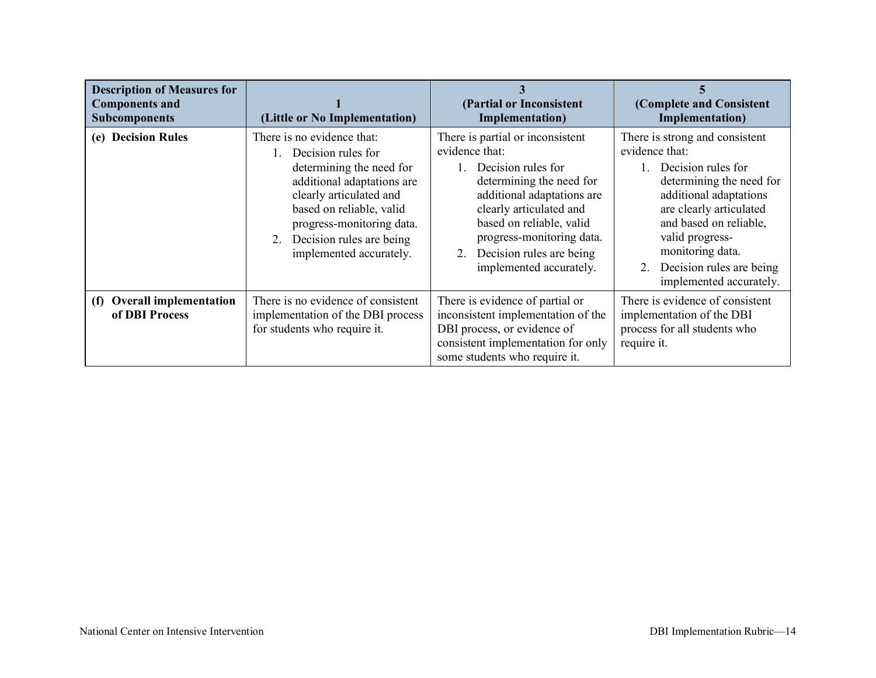| <b>Description of Measures for</b><br><b>Components and</b><br><b>Subcomponents</b> | (Little or No Implementation)                                                                                                                                                                                                                               | (Partial or Inconsistent<br>Implementation)                                                                                                                                                                                                                                         | (Complete and Consistent<br><b>Implementation</b> )                                                                                                                                                                                                                                        |
|-------------------------------------------------------------------------------------|-------------------------------------------------------------------------------------------------------------------------------------------------------------------------------------------------------------------------------------------------------------|-------------------------------------------------------------------------------------------------------------------------------------------------------------------------------------------------------------------------------------------------------------------------------------|--------------------------------------------------------------------------------------------------------------------------------------------------------------------------------------------------------------------------------------------------------------------------------------------|
| (e) Decision Rules                                                                  | There is no evidence that:<br>1. Decision rules for<br>determining the need for<br>additional adaptations are<br>clearly articulated and<br>based on reliable, valid<br>progress-monitoring data.<br>2. Decision rules are being<br>implemented accurately. | There is partial or inconsistent<br>evidence that:<br>Decision rules for<br>determining the need for<br>additional adaptations are<br>clearly articulated and<br>based on reliable, valid<br>progress-monitoring data.<br>Decision rules are being<br>2.<br>implemented accurately. | There is strong and consistent<br>evidence that:<br>Decision rules for<br>determining the need for<br>additional adaptations<br>are clearly articulated<br>and based on reliable,<br>valid progress-<br>monitoring data.<br>Decision rules are being<br>$2_{-}$<br>implemented accurately. |
| <b>Overall implementation</b><br>(f)<br>of DBI Process                              | There is no evidence of consistent<br>implementation of the DBI process<br>for students who require it.                                                                                                                                                     | There is evidence of partial or<br>inconsistent implementation of the<br>DBI process, or evidence of<br>consistent implementation for only<br>some students who require it.                                                                                                         | There is evidence of consistent<br>implementation of the DBI<br>process for all students who<br>require it.                                                                                                                                                                                |